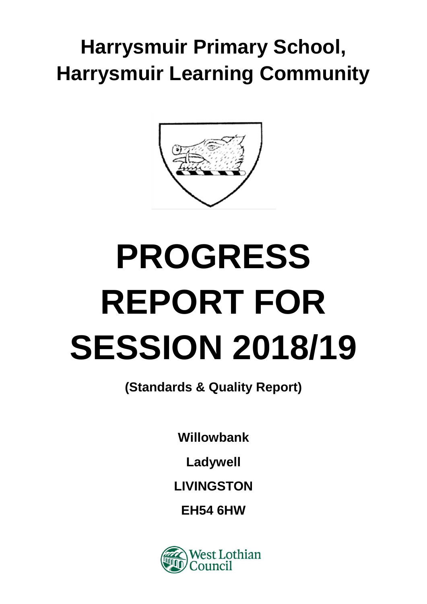# **Harrysmuir Primary School, Harrysmuir Learning Community**



# **PROGRESS REPORT FOR SESSION 2018/19**

**(Standards & Quality Report)**

**Willowbank**

**Ladywell**

**LIVINGSTON**

**EH54 6HW**

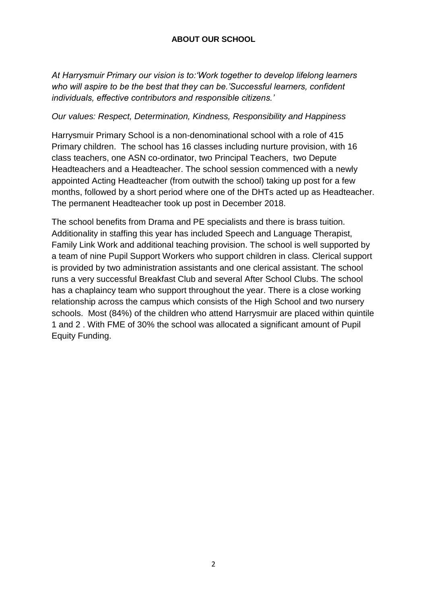# **ABOUT OUR SCHOOL**

*At Harrysmuir Primary our vision is to:'Work together to develop lifelong learners who will aspire to be the best that they can be.'Successful learners, confident individuals, effective contributors and responsible citizens.'*

#### *Our values: Respect, Determination, Kindness, Responsibility and Happiness*

Harrysmuir Primary School is a non-denominational school with a role of 415 Primary children. The school has 16 classes including nurture provision, with 16 class teachers, one ASN co-ordinator, two Principal Teachers, two Depute Headteachers and a Headteacher. The school session commenced with a newly appointed Acting Headteacher (from outwith the school) taking up post for a few months, followed by a short period where one of the DHTs acted up as Headteacher. The permanent Headteacher took up post in December 2018.

The school benefits from Drama and PE specialists and there is brass tuition. Additionality in staffing this year has included Speech and Language Therapist, Family Link Work and additional teaching provision. The school is well supported by a team of nine Pupil Support Workers who support children in class. Clerical support is provided by two administration assistants and one clerical assistant. The school runs a very successful Breakfast Club and several After School Clubs. The school has a chaplaincy team who support throughout the year. There is a close working relationship across the campus which consists of the High School and two nursery schools. Most (84%) of the children who attend Harrysmuir are placed within quintile 1 and 2 . With FME of 30% the school was allocated a significant amount of Pupil Equity Funding.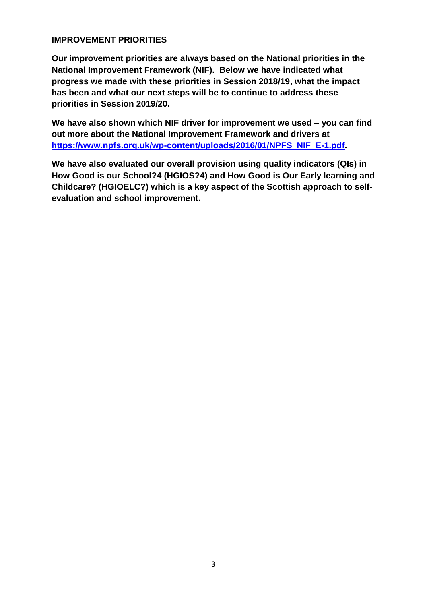# **IMPROVEMENT PRIORITIES**

**Our improvement priorities are always based on the National priorities in the National Improvement Framework (NIF). Below we have indicated what progress we made with these priorities in Session 2018/19, what the impact has been and what our next steps will be to continue to address these priorities in Session 2019/20.**

**We have also shown which NIF driver for improvement we used – you can find out more about the National Improvement Framework and drivers at [https://www.npfs.org.uk/wp-content/uploads/2016/01/NPFS\\_NIF\\_E-1.pdf.](https://www.npfs.org.uk/wp-content/uploads/2016/01/NPFS_NIF_E-1.pdf)**

**We have also evaluated our overall provision using quality indicators (QIs) in How Good is our School?4 (HGIOS?4) and How Good is Our Early learning and Childcare? (HGIOELC?) which is a key aspect of the Scottish approach to selfevaluation and school improvement.**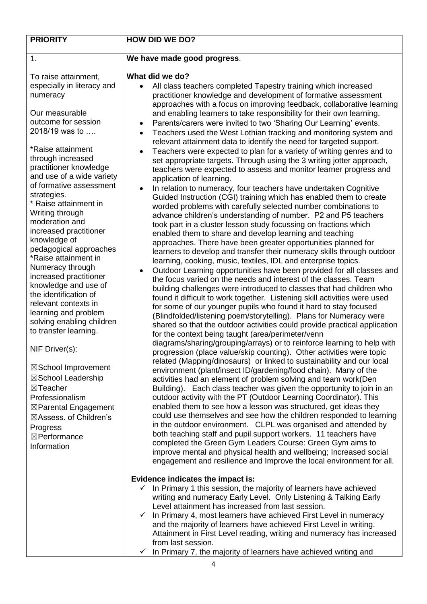| <b>PRIORITY</b>                                                                                                                                                                                                                                                                                                                                                                                                                                                                                                                                                                                                                                                                                                                                                                                                                           | <b>HOW DID WE DO?</b>                                                                                                                                                                                                                                                                                                                                                                                                                                                                                                                                                                                                                                                                                                                                                                                                                                                                                                                                                                                                                                                                                                                                                                                                                                                                                                                                                                                                                                                                                                                                                                                                                                                                                                                                                                                                                                                                                                                                                                                                                                                                                                                                                                                                                                                                                                                                                                                                                                                                                                                                                                                                                                                                                                                                                                                                                                                                                                                                                                                                                                                                          |
|-------------------------------------------------------------------------------------------------------------------------------------------------------------------------------------------------------------------------------------------------------------------------------------------------------------------------------------------------------------------------------------------------------------------------------------------------------------------------------------------------------------------------------------------------------------------------------------------------------------------------------------------------------------------------------------------------------------------------------------------------------------------------------------------------------------------------------------------|------------------------------------------------------------------------------------------------------------------------------------------------------------------------------------------------------------------------------------------------------------------------------------------------------------------------------------------------------------------------------------------------------------------------------------------------------------------------------------------------------------------------------------------------------------------------------------------------------------------------------------------------------------------------------------------------------------------------------------------------------------------------------------------------------------------------------------------------------------------------------------------------------------------------------------------------------------------------------------------------------------------------------------------------------------------------------------------------------------------------------------------------------------------------------------------------------------------------------------------------------------------------------------------------------------------------------------------------------------------------------------------------------------------------------------------------------------------------------------------------------------------------------------------------------------------------------------------------------------------------------------------------------------------------------------------------------------------------------------------------------------------------------------------------------------------------------------------------------------------------------------------------------------------------------------------------------------------------------------------------------------------------------------------------------------------------------------------------------------------------------------------------------------------------------------------------------------------------------------------------------------------------------------------------------------------------------------------------------------------------------------------------------------------------------------------------------------------------------------------------------------------------------------------------------------------------------------------------------------------------------------------------------------------------------------------------------------------------------------------------------------------------------------------------------------------------------------------------------------------------------------------------------------------------------------------------------------------------------------------------------------------------------------------------------------------------------------------------|
| 1.                                                                                                                                                                                                                                                                                                                                                                                                                                                                                                                                                                                                                                                                                                                                                                                                                                        | We have made good progress.                                                                                                                                                                                                                                                                                                                                                                                                                                                                                                                                                                                                                                                                                                                                                                                                                                                                                                                                                                                                                                                                                                                                                                                                                                                                                                                                                                                                                                                                                                                                                                                                                                                                                                                                                                                                                                                                                                                                                                                                                                                                                                                                                                                                                                                                                                                                                                                                                                                                                                                                                                                                                                                                                                                                                                                                                                                                                                                                                                                                                                                                    |
| To raise attainment,<br>especially in literacy and<br>numeracy<br>Our measurable<br>outcome for session<br>2018/19 was to<br>*Raise attainment<br>through increased<br>practitioner knowledge<br>and use of a wide variety<br>of formative assessment<br>strategies.<br>* Raise attainment in<br>Writing through<br>moderation and<br>increased practitioner<br>knowledge of<br>pedagogical approaches<br>*Raise attainment in<br>Numeracy through<br>increased practitioner<br>knowledge and use of<br>the identification of<br>relevant contexts in<br>learning and problem<br>solving enabling children<br>to transfer learning.<br>NIF Driver(s):<br>⊠School Improvement<br>⊠School Leadership<br>$\boxtimes$ Teacher<br>Professionalism<br>⊠Parental Engagement<br>⊠Assess. of Children's<br>Progress<br>⊠Performance<br>Information | What did we do?<br>All class teachers completed Tapestry training which increased<br>practitioner knowledge and development of formative assessment<br>approaches with a focus on improving feedback, collaborative learning<br>and enabling learners to take responsibility for their own learning.<br>Parents/carers were invited to two 'Sharing Our Learning' events.<br>$\bullet$<br>Teachers used the West Lothian tracking and monitoring system and<br>$\bullet$<br>relevant attainment data to identify the need for targeted support.<br>Teachers were expected to plan for a variety of writing genres and to<br>$\bullet$<br>set appropriate targets. Through using the 3 writing jotter approach,<br>teachers were expected to assess and monitor learner progress and<br>application of learning.<br>In relation to numeracy, four teachers have undertaken Cognitive<br>$\bullet$<br>Guided Instruction (CGI) training which has enabled them to create<br>worded problems with carefully selected number combinations to<br>advance children's understanding of number. P2 and P5 teachers<br>took part in a cluster lesson study focussing on fractions which<br>enabled them to share and develop learning and teaching<br>approaches. There have been greater opportunities planned for<br>learners to develop and transfer their numeracy skills through outdoor<br>learning, cooking, music, textiles, IDL and enterprise topics.<br>Outdoor Learning opportunities have been provided for all classes and<br>$\bullet$<br>the focus varied on the needs and interest of the classes. Team<br>building challenges were introduced to classes that had children who<br>found it difficult to work together. Listening skill activities were used<br>for some of our younger pupils who found it hard to stay focused<br>(Blindfolded/listening poem/storytelling). Plans for Numeracy were<br>shared so that the outdoor activities could provide practical application<br>for the context being taught (area/perimeter/venn<br>diagrams/sharing/grouping/arrays) or to reinforce learning to help with<br>progression (place value/skip counting). Other activities were topic<br>related (Mapping/dinosaurs) or linked to sustainability and our local<br>environment (plant/insect ID/gardening/food chain). Many of the<br>activities had an element of problem solving and team work(Den<br>Building). Each class teacher was given the opportunity to join in an<br>outdoor activity with the PT (Outdoor Learning Coordinator). This<br>enabled them to see how a lesson was structured, get ideas they<br>could use themselves and see how the children responded to learning<br>in the outdoor environment. CLPL was organised and attended by<br>both teaching staff and pupil support workers. 11 teachers have<br>completed the Green Gym Leaders Course: Green Gym aims to<br>improve mental and physical health and wellbeing; Increased social<br>engagement and resilience and Improve the local environment for all.<br>Evidence indicates the impact is: |
|                                                                                                                                                                                                                                                                                                                                                                                                                                                                                                                                                                                                                                                                                                                                                                                                                                           | In Primary 1 this session, the majority of learners have achieved<br>writing and numeracy Early Level. Only Listening & Talking Early<br>Level attainment has increased from last session.<br>In Primary 4, most learners have achieved First Level in numeracy<br>✓<br>and the majority of learners have achieved First Level in writing.                                                                                                                                                                                                                                                                                                                                                                                                                                                                                                                                                                                                                                                                                                                                                                                                                                                                                                                                                                                                                                                                                                                                                                                                                                                                                                                                                                                                                                                                                                                                                                                                                                                                                                                                                                                                                                                                                                                                                                                                                                                                                                                                                                                                                                                                                                                                                                                                                                                                                                                                                                                                                                                                                                                                                     |
|                                                                                                                                                                                                                                                                                                                                                                                                                                                                                                                                                                                                                                                                                                                                                                                                                                           | Attainment in First Level reading, writing and numeracy has increased<br>from last session.<br>In Primary 7, the majority of learners have achieved writing and<br>✓                                                                                                                                                                                                                                                                                                                                                                                                                                                                                                                                                                                                                                                                                                                                                                                                                                                                                                                                                                                                                                                                                                                                                                                                                                                                                                                                                                                                                                                                                                                                                                                                                                                                                                                                                                                                                                                                                                                                                                                                                                                                                                                                                                                                                                                                                                                                                                                                                                                                                                                                                                                                                                                                                                                                                                                                                                                                                                                           |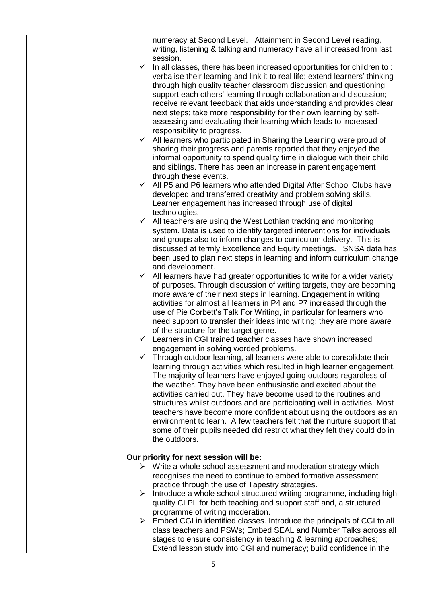|              | numeracy at Second Level. Attainment in Second Level reading,<br>writing, listening & talking and numeracy have all increased from last<br>session.                                                                 |
|--------------|---------------------------------------------------------------------------------------------------------------------------------------------------------------------------------------------------------------------|
| $\checkmark$ | In all classes, there has been increased opportunities for children to:<br>verbalise their learning and link it to real life; extend learners' thinking                                                             |
|              | through high quality teacher classroom discussion and questioning;<br>support each others' learning through collaboration and discussion;                                                                           |
|              | receive relevant feedback that aids understanding and provides clear<br>next steps; take more responsibility for their own learning by self-                                                                        |
|              | assessing and evaluating their learning which leads to increased<br>responsibility to progress.                                                                                                                     |
|              | $\checkmark$ All learners who participated in Sharing the Learning were proud of<br>sharing their progress and parents reported that they enjoyed the                                                               |
|              | informal opportunity to spend quality time in dialogue with their child<br>and siblings. There has been an increase in parent engagement                                                                            |
| $\checkmark$ | through these events.<br>All P5 and P6 learners who attended Digital After School Clubs have                                                                                                                        |
|              | developed and transferred creativity and problem solving skills.<br>Learner engagement has increased through use of digital                                                                                         |
|              | technologies.<br>$\checkmark$ All teachers are using the West Lothian tracking and monitoring                                                                                                                       |
|              | system. Data is used to identify targeted interventions for individuals<br>and groups also to inform changes to curriculum delivery. This is                                                                        |
|              | discussed at termly Excellence and Equity meetings. SNSA data has<br>been used to plan next steps in learning and inform curriculum change                                                                          |
| ✓            | and development.<br>All learners have had greater opportunities to write for a wider variety                                                                                                                        |
|              | of purposes. Through discussion of writing targets, they are becoming<br>more aware of their next steps in learning. Engagement in writing<br>activities for almost all learners in P4 and P7 increased through the |
|              | use of Pie Corbett's Talk For Writing, in particular for learners who<br>need support to transfer their ideas into writing; they are more aware                                                                     |
| $\checkmark$ | of the structure for the target genre.<br>Learners in CGI trained teacher classes have shown increased<br>engagement in solving worded problems.                                                                    |
|              | Through outdoor learning, all learners were able to consolidate their                                                                                                                                               |
|              | learning through activities which resulted in high learner engagement.<br>The majority of learners have enjoyed going outdoors regardless of<br>the weather. They have been enthusiastic and excited about the      |
|              | activities carried out. They have become used to the routines and<br>structures whilst outdoors and are participating well in activities. Most                                                                      |
|              | teachers have become more confident about using the outdoors as an<br>environment to learn. A few teachers felt that the nurture support that                                                                       |
|              | some of their pupils needed did restrict what they felt they could do in<br>the outdoors.                                                                                                                           |
|              | Our priority for next session will be:                                                                                                                                                                              |
|              | $\triangleright$ Write a whole school assessment and moderation strategy which<br>recognises the need to continue to embed formative assessment                                                                     |
| ≻            | practice through the use of Tapestry strategies.<br>Introduce a whole school structured writing programme, including high                                                                                           |
|              | quality CLPL for both teaching and support staff and, a structured<br>programme of writing moderation.                                                                                                              |
|              | $\triangleright$ Embed CGI in identified classes. Introduce the principals of CGI to all<br>class teachers and PSWs; Embed SEAL and Number Talks across all                                                         |
|              | stages to ensure consistency in teaching & learning approaches;<br>Extend lesson study into CGI and numeracy; build confidence in the                                                                               |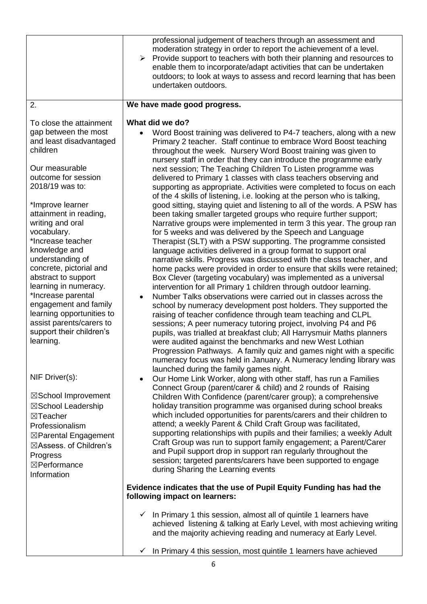|                                                                                                                                                                                                                                                                                                                                                                                                                                                                                                                           | professional judgement of teachers through an assessment and<br>moderation strategy in order to report the achievement of a level.<br>Provide support to teachers with both their planning and resources to<br>➤<br>enable them to incorporate/adapt activities that can be undertaken<br>outdoors; to look at ways to assess and record learning that has been<br>undertaken outdoors.                                                                                                                                                                                                                                                                                                                                                                                                                                                                                                                                                                                                                                                                                                                                                                                                                                                                                                                                                                                                                                                                                                                                                                                                                                                                                                                                                                                                                                                                                                                               |
|---------------------------------------------------------------------------------------------------------------------------------------------------------------------------------------------------------------------------------------------------------------------------------------------------------------------------------------------------------------------------------------------------------------------------------------------------------------------------------------------------------------------------|-----------------------------------------------------------------------------------------------------------------------------------------------------------------------------------------------------------------------------------------------------------------------------------------------------------------------------------------------------------------------------------------------------------------------------------------------------------------------------------------------------------------------------------------------------------------------------------------------------------------------------------------------------------------------------------------------------------------------------------------------------------------------------------------------------------------------------------------------------------------------------------------------------------------------------------------------------------------------------------------------------------------------------------------------------------------------------------------------------------------------------------------------------------------------------------------------------------------------------------------------------------------------------------------------------------------------------------------------------------------------------------------------------------------------------------------------------------------------------------------------------------------------------------------------------------------------------------------------------------------------------------------------------------------------------------------------------------------------------------------------------------------------------------------------------------------------------------------------------------------------------------------------------------------------|
| 2.                                                                                                                                                                                                                                                                                                                                                                                                                                                                                                                        | We have made good progress.                                                                                                                                                                                                                                                                                                                                                                                                                                                                                                                                                                                                                                                                                                                                                                                                                                                                                                                                                                                                                                                                                                                                                                                                                                                                                                                                                                                                                                                                                                                                                                                                                                                                                                                                                                                                                                                                                           |
| To close the attainment<br>gap between the most<br>and least disadvantaged<br>children<br>Our measurable<br>outcome for session<br>2018/19 was to:<br>*Improve learner<br>attainment in reading,<br>writing and oral<br>vocabulary.<br>*Increase teacher<br>knowledge and<br>understanding of<br>concrete, pictorial and<br>abstract to support<br>learning in numeracy.<br>*Increase parental<br>engagement and family<br>learning opportunities to<br>assist parents/carers to<br>support their children's<br>learning. | What did we do?<br>Word Boost training was delivered to P4-7 teachers, along with a new<br>Primary 2 teacher. Staff continue to embrace Word Boost teaching<br>throughout the week. Nursery Word Boost training was given to<br>nursery staff in order that they can introduce the programme early<br>next session; The Teaching Children To Listen programme was<br>delivered to Primary 1 classes with class teachers observing and<br>supporting as appropriate. Activities were completed to focus on each<br>of the 4 skills of listening, i.e. looking at the person who is talking,<br>good sitting, staying quiet and listening to all of the words. A PSW has<br>been taking smaller targeted groups who require further support;<br>Narrative groups were implemented in term 3 this year. The group ran<br>for 5 weeks and was delivered by the Speech and Language<br>Therapist (SLT) with a PSW supporting. The programme consisted<br>language activities delivered in a group format to support oral<br>narrative skills. Progress was discussed with the class teacher, and<br>home packs were provided in order to ensure that skills were retained;<br>Box Clever (targeting vocabulary) was implemented as a universal<br>intervention for all Primary 1 children through outdoor learning.<br>Number Talks observations were carried out in classes across the<br>school by numeracy development post holders. They supported the<br>raising of teacher confidence through team teaching and CLPL<br>sessions; A peer numeracy tutoring project, involving P4 and P6<br>pupils, was trialled at breakfast club; All Harrysmuir Maths planners<br>were audited against the benchmarks and new West Lothian<br>Progression Pathways. A family quiz and games night with a specific<br>numeracy focus was held in January. A Numeracy lending library was<br>launched during the family games night. |
| NIF Driver(s):<br>⊠School Improvement<br>⊠School Leadership<br>⊠Teacher<br>Professionalism<br>⊠Parental Engagement<br>⊠Assess. of Children's<br>Progress<br>⊠Performance<br>Information                                                                                                                                                                                                                                                                                                                                   | Our Home Link Worker, along with other staff, has run a Families<br>$\bullet$<br>Connect Group (parent/carer & child) and 2 rounds of Raising<br>Children With Confidence (parent/carer group); a comprehensive<br>holiday transition programme was organised during school breaks<br>which included opportunities for parents/carers and their children to<br>attend; a weekly Parent & Child Craft Group was facilitated,<br>supporting relationships with pupils and their families; a weekly Adult<br>Craft Group was run to support family engagement; a Parent/Carer<br>and Pupil support drop in support ran regularly throughout the<br>session; targeted parents/carers have been supported to engage<br>during Sharing the Learning events<br>Evidence indicates that the use of Pupil Equity Funding has had the<br>following impact on learners:<br>$\checkmark$ In Primary 1 this session, almost all of quintile 1 learners have<br>achieved listening & talking at Early Level, with most achieving writing<br>and the majority achieving reading and numeracy at Early Level.                                                                                                                                                                                                                                                                                                                                                                                                                                                                                                                                                                                                                                                                                                                                                                                                                         |
|                                                                                                                                                                                                                                                                                                                                                                                                                                                                                                                           | In Primary 4 this session, most quintile 1 learners have achieved                                                                                                                                                                                                                                                                                                                                                                                                                                                                                                                                                                                                                                                                                                                                                                                                                                                                                                                                                                                                                                                                                                                                                                                                                                                                                                                                                                                                                                                                                                                                                                                                                                                                                                                                                                                                                                                     |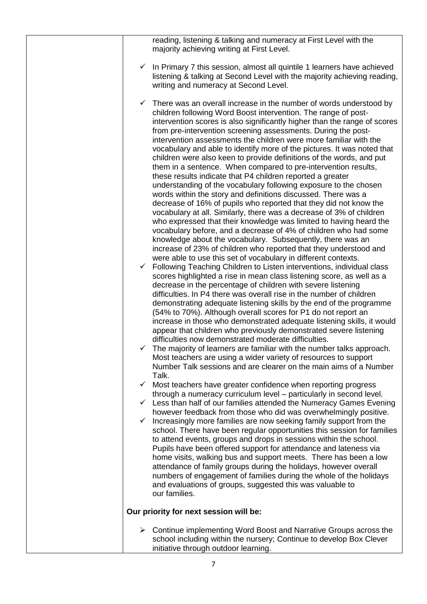|              | reading, listening & talking and numeracy at First Level with the<br>majority achieving writing at First Level.                                                                                                                                                                                                                                                                                                                                                                                                                                                                                                                                                                                                                                                                                                                                                                                                                                                                                                                                                                                                                                                                                                                                                                                                                                                                                                                                                                                                                                                                                                                                                                                                                                                                                                                                                                                                                                                                                                                                                                                                                                    |
|--------------|----------------------------------------------------------------------------------------------------------------------------------------------------------------------------------------------------------------------------------------------------------------------------------------------------------------------------------------------------------------------------------------------------------------------------------------------------------------------------------------------------------------------------------------------------------------------------------------------------------------------------------------------------------------------------------------------------------------------------------------------------------------------------------------------------------------------------------------------------------------------------------------------------------------------------------------------------------------------------------------------------------------------------------------------------------------------------------------------------------------------------------------------------------------------------------------------------------------------------------------------------------------------------------------------------------------------------------------------------------------------------------------------------------------------------------------------------------------------------------------------------------------------------------------------------------------------------------------------------------------------------------------------------------------------------------------------------------------------------------------------------------------------------------------------------------------------------------------------------------------------------------------------------------------------------------------------------------------------------------------------------------------------------------------------------------------------------------------------------------------------------------------------------|
|              | In Primary 7 this session, almost all quintile 1 learners have achieved<br>listening & talking at Second Level with the majority achieving reading,<br>writing and numeracy at Second Level.                                                                                                                                                                                                                                                                                                                                                                                                                                                                                                                                                                                                                                                                                                                                                                                                                                                                                                                                                                                                                                                                                                                                                                                                                                                                                                                                                                                                                                                                                                                                                                                                                                                                                                                                                                                                                                                                                                                                                       |
| $\checkmark$ | There was an overall increase in the number of words understood by<br>children following Word Boost intervention. The range of post-<br>intervention scores is also significantly higher than the range of scores<br>from pre-intervention screening assessments. During the post-<br>intervention assessments the children were more familiar with the<br>vocabulary and able to identify more of the pictures. It was noted that<br>children were also keen to provide definitions of the words, and put<br>them in a sentence. When compared to pre-intervention results,<br>these results indicate that P4 children reported a greater<br>understanding of the vocabulary following exposure to the chosen<br>words within the story and definitions discussed. There was a<br>decrease of 16% of pupils who reported that they did not know the<br>vocabulary at all. Similarly, there was a decrease of 3% of children<br>who expressed that their knowledge was limited to having heard the<br>vocabulary before, and a decrease of 4% of children who had some<br>knowledge about the vocabulary. Subsequently, there was an<br>increase of 23% of children who reported that they understood and<br>were able to use this set of vocabulary in different contexts.<br>Following Teaching Children to Listen interventions, individual class<br>scores highlighted a rise in mean class listening score, as well as a<br>decrease in the percentage of children with severe listening<br>difficulties. In P4 there was overall rise in the number of children<br>demonstrating adequate listening skills by the end of the programme<br>(54% to 70%). Although overall scores for P1 do not report an<br>increase in those who demonstrated adequate listening skills, it would<br>appear that children who previously demonstrated severe listening<br>difficulties now demonstrated moderate difficulties.<br>$\checkmark$ The majority of learners are familiar with the number talks approach.<br>Most teachers are using a wider variety of resources to support<br>Number Talk sessions and are clearer on the main aims of a Number |
|              | Talk.<br>$\checkmark$ Most teachers have greater confidence when reporting progress<br>through a numeracy curriculum level – particularly in second level.                                                                                                                                                                                                                                                                                                                                                                                                                                                                                                                                                                                                                                                                                                                                                                                                                                                                                                                                                                                                                                                                                                                                                                                                                                                                                                                                                                                                                                                                                                                                                                                                                                                                                                                                                                                                                                                                                                                                                                                         |
| $\checkmark$ | $\checkmark$ Less than half of our families attended the Numeracy Games Evening<br>however feedback from those who did was overwhelmingly positive.<br>Increasingly more families are now seeking family support from the<br>school. There have been regular opportunities this session for families<br>to attend events, groups and drops in sessions within the school.<br>Pupils have been offered support for attendance and lateness via<br>home visits, walking bus and support meets. There has been a low<br>attendance of family groups during the holidays, however overall<br>numbers of engagement of families during the whole of the holidays<br>and evaluations of groups, suggested this was valuable to<br>our families.                                                                                                                                                                                                                                                                                                                                                                                                                                                                                                                                                                                                                                                                                                                                                                                                                                                                                                                                                                                                                                                                                                                                                                                                                                                                                                                                                                                                          |
|              | Our priority for next session will be:                                                                                                                                                                                                                                                                                                                                                                                                                                                                                                                                                                                                                                                                                                                                                                                                                                                                                                                                                                                                                                                                                                                                                                                                                                                                                                                                                                                                                                                                                                                                                                                                                                                                                                                                                                                                                                                                                                                                                                                                                                                                                                             |
|              | Continue implementing Word Boost and Narrative Groups across the<br>school including within the nursery; Continue to develop Box Clever<br>initiative through outdoor learning.                                                                                                                                                                                                                                                                                                                                                                                                                                                                                                                                                                                                                                                                                                                                                                                                                                                                                                                                                                                                                                                                                                                                                                                                                                                                                                                                                                                                                                                                                                                                                                                                                                                                                                                                                                                                                                                                                                                                                                    |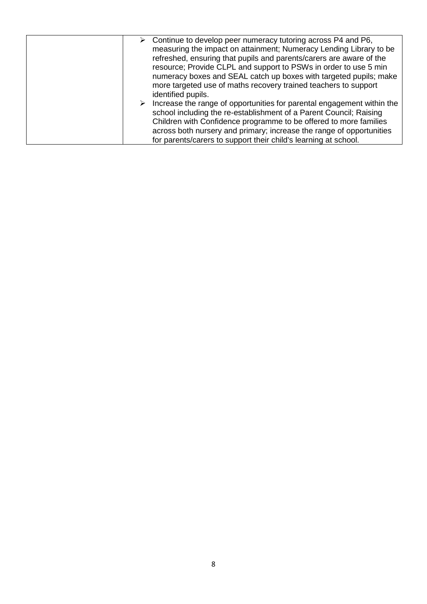|  | $\triangleright$ Continue to develop peer numeracy tutoring across P4 and P6,<br>measuring the impact on attainment; Numeracy Lending Library to be<br>refreshed, ensuring that pupils and parents/carers are aware of the<br>resource; Provide CLPL and support to PSWs in order to use 5 min<br>numeracy boxes and SEAL catch up boxes with targeted pupils; make<br>more targeted use of maths recovery trained teachers to support |
|--|----------------------------------------------------------------------------------------------------------------------------------------------------------------------------------------------------------------------------------------------------------------------------------------------------------------------------------------------------------------------------------------------------------------------------------------|
|  | identified pupils.<br>Increase the range of opportunities for parental engagement within the<br>school including the re-establishment of a Parent Council; Raising<br>Children with Confidence programme to be offered to more families<br>across both nursery and primary; increase the range of opportunities                                                                                                                        |
|  | for parents/carers to support their child's learning at school.                                                                                                                                                                                                                                                                                                                                                                        |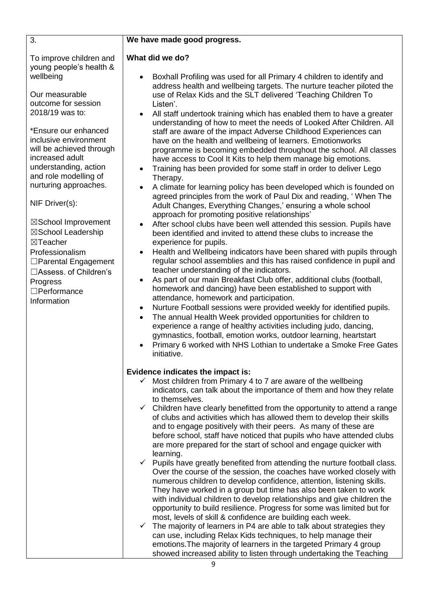| 3.                                                                                                                                                                                                                                                                                                                                                                        | We have made good progress.                                                                                                                                                                                                                                                                                                                                                                                                                                                                                                                                                                                                                                                                                                                                                                                                                                                                                                                                                                                                                                                                                                                                                                                                                                                                                                                                                                                                                                                                                                                                                                                                                                      |
|---------------------------------------------------------------------------------------------------------------------------------------------------------------------------------------------------------------------------------------------------------------------------------------------------------------------------------------------------------------------------|------------------------------------------------------------------------------------------------------------------------------------------------------------------------------------------------------------------------------------------------------------------------------------------------------------------------------------------------------------------------------------------------------------------------------------------------------------------------------------------------------------------------------------------------------------------------------------------------------------------------------------------------------------------------------------------------------------------------------------------------------------------------------------------------------------------------------------------------------------------------------------------------------------------------------------------------------------------------------------------------------------------------------------------------------------------------------------------------------------------------------------------------------------------------------------------------------------------------------------------------------------------------------------------------------------------------------------------------------------------------------------------------------------------------------------------------------------------------------------------------------------------------------------------------------------------------------------------------------------------------------------------------------------------|
| To improve children and<br>young people's health &<br>wellbeing                                                                                                                                                                                                                                                                                                           | What did we do?<br>Boxhall Profiling was used for all Primary 4 children to identify and<br>address health and wellbeing targets. The nurture teacher piloted the                                                                                                                                                                                                                                                                                                                                                                                                                                                                                                                                                                                                                                                                                                                                                                                                                                                                                                                                                                                                                                                                                                                                                                                                                                                                                                                                                                                                                                                                                                |
| Our measurable<br>outcome for session<br>2018/19 was to:                                                                                                                                                                                                                                                                                                                  | use of Relax Kids and the SLT delivered 'Teaching Children To<br>Listen'.<br>All staff undertook training which has enabled them to have a greater<br>$\bullet$                                                                                                                                                                                                                                                                                                                                                                                                                                                                                                                                                                                                                                                                                                                                                                                                                                                                                                                                                                                                                                                                                                                                                                                                                                                                                                                                                                                                                                                                                                  |
| *Ensure our enhanced<br>inclusive environment<br>will be achieved through<br>increased adult<br>understanding, action<br>and role modelling of<br>nurturing approaches.<br>NIF Driver(s):<br>⊠School Improvement<br>⊠School Leadership<br>⊠Teacher<br>Professionalism<br>□ Parental Engagement<br>□Assess. of Children's<br>Progress<br>$\Box$ Performance<br>Information | understanding of how to meet the needs of Looked After Children. All<br>staff are aware of the impact Adverse Childhood Experiences can<br>have on the health and wellbeing of learners. Emotionworks<br>programme is becoming embedded throughout the school. All classes<br>have access to Cool It Kits to help them manage big emotions.<br>Training has been provided for some staff in order to deliver Lego<br>Therapy.<br>A climate for learning policy has been developed which is founded on<br>$\bullet$<br>agreed principles from the work of Paul Dix and reading, 'When The<br>Adult Changes, Everything Changes,' ensuring a whole school<br>approach for promoting positive relationships'<br>After school clubs have been well attended this session. Pupils have<br>been identified and invited to attend these clubs to increase the<br>experience for pupils.<br>Health and Wellbeing indicators have been shared with pupils through<br>$\bullet$<br>regular school assemblies and this has raised confidence in pupil and<br>teacher understanding of the indicators.<br>As part of our main Breakfast Club offer, additional clubs (football,<br>homework and dancing) have been established to support with<br>attendance, homework and participation.<br>Nurture Football sessions were provided weekly for identified pupils.<br>$\bullet$<br>The annual Health Week provided opportunities for children to<br>$\bullet$<br>experience a range of healthy activities including judo, dancing,<br>gymnastics, football, emotion works, outdoor learning, heartstart<br>Primary 6 worked with NHS Lothian to undertake a Smoke Free Gates |
|                                                                                                                                                                                                                                                                                                                                                                           | initiative.<br>Evidence indicates the impact is:<br>Most children from Primary 4 to 7 are aware of the wellbeing<br>$\checkmark$<br>indicators, can talk about the importance of them and how they relate<br>to themselves.<br>$\checkmark$ Children have clearly benefitted from the opportunity to attend a range<br>of clubs and activities which has allowed them to develop their skills<br>and to engage positively with their peers. As many of these are<br>before school, staff have noticed that pupils who have attended clubs<br>are more prepared for the start of school and engage quicker with<br>learning.<br>$\checkmark$ Pupils have greatly benefited from attending the nurture football class.<br>Over the course of the session, the coaches have worked closely with<br>numerous children to develop confidence, attention, listening skills.<br>They have worked in a group but time has also been taken to work<br>with individual children to develop relationships and give children the<br>opportunity to build resilience. Progress for some was limited but for<br>most, levels of skill & confidence are building each week.<br>$\checkmark$ The majority of learners in P4 are able to talk about strategies they<br>can use, including Relax Kids techniques, to help manage their<br>emotions. The majority of learners in the targeted Primary 4 group<br>showed increased ability to listen through undertaking the Teaching                                                                                                                                                                                                |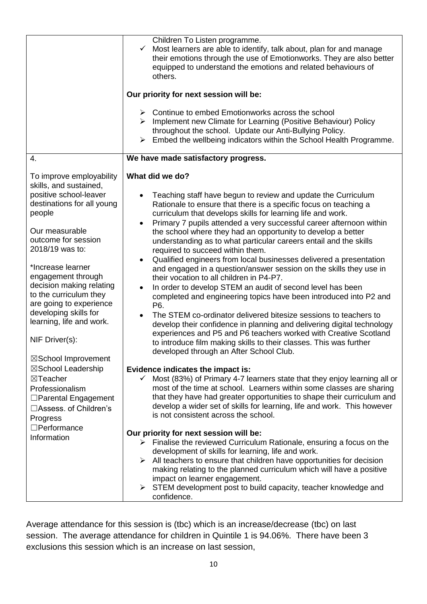|                                                                                                                                                                                                                                                                                                                                                      | Children To Listen programme.<br>Most learners are able to identify, talk about, plan for and manage<br>$\checkmark$<br>their emotions through the use of Emotionworks. They are also better<br>equipped to understand the emotions and related behaviours of<br>others.                                                                                                                                                                                                                                                                                                                                                                                                                                                                                                                                                                                                                                                                                                                                                                                                                                                                        |
|------------------------------------------------------------------------------------------------------------------------------------------------------------------------------------------------------------------------------------------------------------------------------------------------------------------------------------------------------|-------------------------------------------------------------------------------------------------------------------------------------------------------------------------------------------------------------------------------------------------------------------------------------------------------------------------------------------------------------------------------------------------------------------------------------------------------------------------------------------------------------------------------------------------------------------------------------------------------------------------------------------------------------------------------------------------------------------------------------------------------------------------------------------------------------------------------------------------------------------------------------------------------------------------------------------------------------------------------------------------------------------------------------------------------------------------------------------------------------------------------------------------|
|                                                                                                                                                                                                                                                                                                                                                      | Our priority for next session will be:                                                                                                                                                                                                                                                                                                                                                                                                                                                                                                                                                                                                                                                                                                                                                                                                                                                                                                                                                                                                                                                                                                          |
|                                                                                                                                                                                                                                                                                                                                                      | $\triangleright$ Continue to embed Emotionworks across the school<br>> Implement new Climate for Learning (Positive Behaviour) Policy<br>throughout the school. Update our Anti-Bullying Policy.<br>Embed the wellbeing indicators within the School Health Programme.<br>$\blacktriangleright$                                                                                                                                                                                                                                                                                                                                                                                                                                                                                                                                                                                                                                                                                                                                                                                                                                                 |
| $\overline{4}$ .                                                                                                                                                                                                                                                                                                                                     | We have made satisfactory progress.                                                                                                                                                                                                                                                                                                                                                                                                                                                                                                                                                                                                                                                                                                                                                                                                                                                                                                                                                                                                                                                                                                             |
| To improve employability<br>skills, and sustained,                                                                                                                                                                                                                                                                                                   | What did we do?                                                                                                                                                                                                                                                                                                                                                                                                                                                                                                                                                                                                                                                                                                                                                                                                                                                                                                                                                                                                                                                                                                                                 |
| positive school-leaver<br>destinations for all young<br>people<br>Our measurable<br>outcome for session<br>2018/19 was to:<br>*Increase learner<br>engagement through<br>decision making relating<br>to the curriculum they<br>are going to experience<br>developing skills for<br>learning, life and work.<br>NIF Driver(s):<br>⊠School Improvement | Teaching staff have begun to review and update the Curriculum<br>Rationale to ensure that there is a specific focus on teaching a<br>curriculum that develops skills for learning life and work.<br>Primary 7 pupils attended a very successful career afternoon within<br>$\bullet$<br>the school where they had an opportunity to develop a better<br>understanding as to what particular careers entail and the skills<br>required to succeed within them.<br>Qualified engineers from local businesses delivered a presentation<br>$\bullet$<br>and engaged in a question/answer session on the skills they use in<br>their vocation to all children in P4-P7.<br>In order to develop STEM an audit of second level has been<br>completed and engineering topics have been introduced into P2 and<br>P6.<br>The STEM co-ordinator delivered bitesize sessions to teachers to<br>develop their confidence in planning and delivering digital technology<br>experiences and P5 and P6 teachers worked with Creative Scotland<br>to introduce film making skills to their classes. This was further<br>developed through an After School Club. |
| ⊠School Leadership<br>⊠Teacher<br>Professionalism<br>□ Parental Engagement<br>□Assess, of Children's<br>Progress                                                                                                                                                                                                                                     | Evidence indicates the impact is:<br>Most (83%) of Primary 4-7 learners state that they enjoy learning all or<br>most of the time at school. Learners within some classes are sharing<br>that they have had greater opportunities to shape their curriculum and<br>develop a wider set of skills for learning, life and work. This however<br>is not consistent across the school.                                                                                                                                                                                                                                                                                                                                                                                                                                                                                                                                                                                                                                                                                                                                                              |
| $\Box$ Performance<br>Information                                                                                                                                                                                                                                                                                                                    | Our priority for next session will be:<br>$\triangleright$ Finalise the reviewed Curriculum Rationale, ensuring a focus on the<br>development of skills for learning, life and work.<br>$\triangleright$ All teachers to ensure that children have opportunities for decision<br>making relating to the planned curriculum which will have a positive<br>impact on learner engagement.<br>$\triangleright$ STEM development post to build capacity, teacher knowledge and<br>confidence.                                                                                                                                                                                                                                                                                                                                                                                                                                                                                                                                                                                                                                                        |

Average attendance for this session is (tbc) which is an increase/decrease (tbc) on last session. The average attendance for children in Quintile 1 is 94.06%. There have been 3 exclusions this session which is an increase on last session,